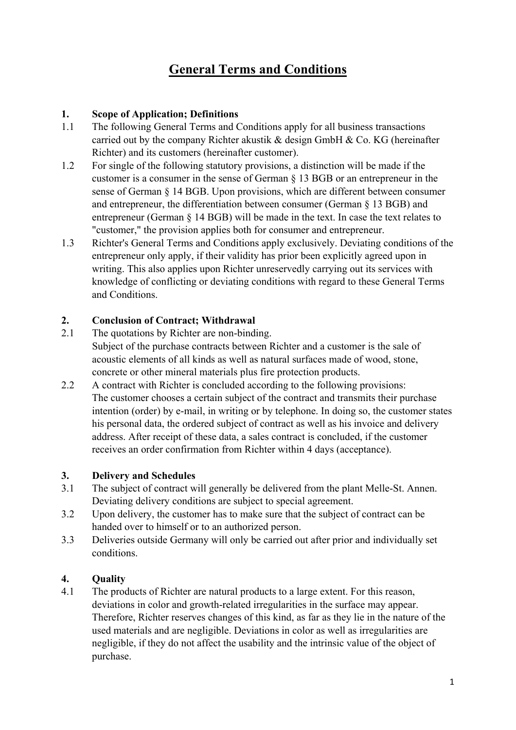# **General Terms and Conditions**

# **1. Scope of Application; Definitions**

- 1.1 The following General Terms and Conditions apply for all business transactions carried out by the company Richter akustik  $\&$  design GmbH  $\&$  Co. KG (hereinafter Richter) and its customers (hereinafter customer).
- 1.2 For single of the following statutory provisions, a distinction will be made if the customer is a consumer in the sense of German § 13 BGB or an entrepreneur in the sense of German § 14 BGB. Upon provisions, which are different between consumer and entrepreneur, the differentiation between consumer (German § 13 BGB) and entrepreneur (German § 14 BGB) will be made in the text. In case the text relates to "customer," the provision applies both for consumer and entrepreneur.
- 1.3 Richter's General Terms and Conditions apply exclusively. Deviating conditions of the entrepreneur only apply, if their validity has prior been explicitly agreed upon in writing. This also applies upon Richter unreservedly carrying out its services with knowledge of conflicting or deviating conditions with regard to these General Terms and Conditions.

# **2. Conclusion of Contract; Withdrawal**

- 2.1 The quotations by Richter are non-binding. Subject of the purchase contracts between Richter and a customer is the sale of acoustic elements of all kinds as well as natural surfaces made of wood, stone, concrete or other mineral materials plus fire protection products.
- 2.2 A contract with Richter is concluded according to the following provisions: The customer chooses a certain subject of the contract and transmits their purchase intention (order) by e-mail, in writing or by telephone. In doing so, the customer states his personal data, the ordered subject of contract as well as his invoice and delivery address. After receipt of these data, a sales contract is concluded, if the customer receives an order confirmation from Richter within 4 days (acceptance).

### **3. Delivery and Schedules**

- 3.1 The subject of contract will generally be delivered from the plant Melle-St. Annen. Deviating delivery conditions are subject to special agreement.
- 3.2 Upon delivery, the customer has to make sure that the subject of contract can be handed over to himself or to an authorized person.
- 3.3 Deliveries outside Germany will only be carried out after prior and individually set conditions.

# **4. Quality**

4.1 The products of Richter are natural products to a large extent. For this reason, deviations in color and growth-related irregularities in the surface may appear. Therefore, Richter reserves changes of this kind, as far as they lie in the nature of the used materials and are negligible. Deviations in color as well as irregularities are negligible, if they do not affect the usability and the intrinsic value of the object of purchase.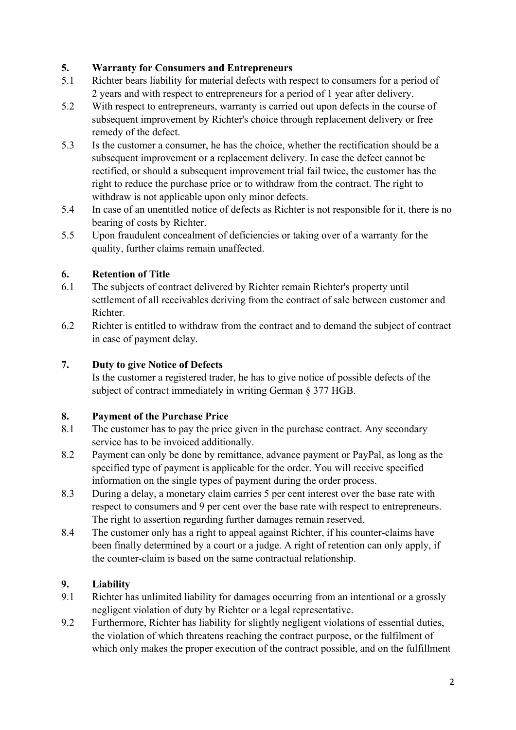### **5. Warranty for Consumers and Entrepreneurs**

- 5.1 Richter bears liability for material defects with respect to consumers for a period of 2 years and with respect to entrepreneurs for a period of 1 year after delivery.
- 5.2 With respect to entrepreneurs, warranty is carried out upon defects in the course of subsequent improvement by Richter's choice through replacement delivery or free remedy of the defect.
- 5.3 Is the customer a consumer, he has the choice, whether the rectification should be a subsequent improvement or a replacement delivery. In case the defect cannot be rectified, or should a subsequent improvement trial fail twice, the customer has the right to reduce the purchase price or to withdraw from the contract. The right to withdraw is not applicable upon only minor defects.
- 5.4 In case of an unentitled notice of defects as Richter is not responsible for it, there is no bearing of costs by Richter.
- 5.5 Upon fraudulent concealment of deficiencies or taking over of a warranty for the quality, further claims remain unaffected.

# **6. Retention of Title**

- 6.1 The subjects of contract delivered by Richter remain Richter's property until settlement of all receivables deriving from the contract of sale between customer and Richter.
- 6.2 Richter is entitled to withdraw from the contract and to demand the subject of contract in case of payment delay.

# **7. Duty to give Notice of Defects**

Is the customer a registered trader, he has to give notice of possible defects of the subject of contract immediately in writing German § 377 HGB.

# **8. Payment of the Purchase Price**

- 8.1 The customer has to pay the price given in the purchase contract. Any secondary service has to be invoiced additionally.
- 8.2 Payment can only be done by remittance, advance payment or PayPal, as long as the specified type of payment is applicable for the order. You will receive specified information on the single types of payment during the order process.
- 8.3 During a delay, a monetary claim carries 5 per cent interest over the base rate with respect to consumers and 9 per cent over the base rate with respect to entrepreneurs. The right to assertion regarding further damages remain reserved.
- 8.4 The customer only has a right to appeal against Richter, if his counter-claims have been finally determined by a court or a judge. A right of retention can only apply, if the counter-claim is based on the same contractual relationship.

# **9. Liability**

- 9.1 Richter has unlimited liability for damages occurring from an intentional or a grossly negligent violation of duty by Richter or a legal representative.
- 9.2 Furthermore, Richter has liability for slightly negligent violations of essential duties, the violation of which threatens reaching the contract purpose, or the fulfilment of which only makes the proper execution of the contract possible, and on the fulfillment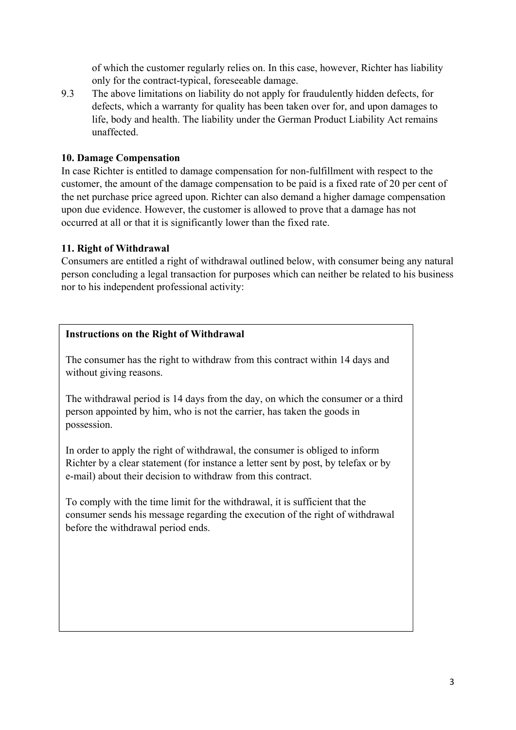of which the customer regularly relies on. In this case, however, Richter has liability only for the contract-typical, foreseeable damage.

9.3 The above limitations on liability do not apply for fraudulently hidden defects, for defects, which a warranty for quality has been taken over for, and upon damages to life, body and health. The liability under the German Product Liability Act remains unaffected.

#### **10. Damage Compensation**

In case Richter is entitled to damage compensation for non-fulfillment with respect to the customer, the amount of the damage compensation to be paid is a fixed rate of 20 per cent of the net purchase price agreed upon. Richter can also demand a higher damage compensation upon due evidence. However, the customer is allowed to prove that a damage has not occurred at all or that it is significantly lower than the fixed rate.

#### **11. Right of Withdrawal**

Consumers are entitled a right of withdrawal outlined below, with consumer being any natural person concluding a legal transaction for purposes which can neither be related to his business nor to his independent professional activity:

#### **Instructions on the Right of Withdrawal**

The consumer has the right to withdraw from this contract within 14 days and without giving reasons.

The withdrawal period is 14 days from the day, on which the consumer or a third person appointed by him, who is not the carrier, has taken the goods in possession.

In order to apply the right of withdrawal, the consumer is obliged to inform Richter by a clear statement (for instance a letter sent by post, by telefax or by e-mail) about their decision to withdraw from this contract.

To comply with the time limit for the withdrawal, it is sufficient that the consumer sends his message regarding the execution of the right of withdrawal before the withdrawal period ends.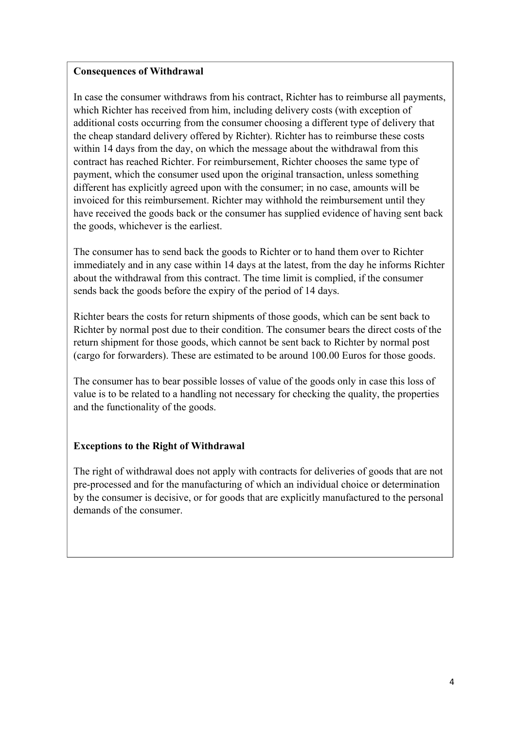#### **Consequences of Withdrawal**

In case the consumer withdraws from his contract, Richter has to reimburse all payments, which Richter has received from him, including delivery costs (with exception of additional costs occurring from the consumer choosing a different type of delivery that the cheap standard delivery offered by Richter). Richter has to reimburse these costs within 14 days from the day, on which the message about the withdrawal from this contract has reached Richter. For reimbursement, Richter chooses the same type of payment, which the consumer used upon the original transaction, unless something different has explicitly agreed upon with the consumer; in no case, amounts will be invoiced for this reimbursement. Richter may withhold the reimbursement until they have received the goods back or the consumer has supplied evidence of having sent back the goods, whichever is the earliest.

The consumer has to send back the goods to Richter or to hand them over to Richter immediately and in any case within 14 days at the latest, from the day he informs Richter about the withdrawal from this contract. The time limit is complied, if the consumer sends back the goods before the expiry of the period of 14 days.

Richter bears the costs for return shipments of those goods, which can be sent back to Richter by normal post due to their condition. The consumer bears the direct costs of the return shipment for those goods, which cannot be sent back to Richter by normal post (cargo for forwarders). These are estimated to be around 100.00 Euros for those goods.

The consumer has to bear possible losses of value of the goods only in case this loss of value is to be related to a handling not necessary for checking the quality, the properties and the functionality of the goods.

### **Exceptions to the Right of Withdrawal**

The right of withdrawal does not apply with contracts for deliveries of goods that are not pre-processed and for the manufacturing of which an individual choice or determination by the consumer is decisive, or for goods that are explicitly manufactured to the personal demands of the consumer.